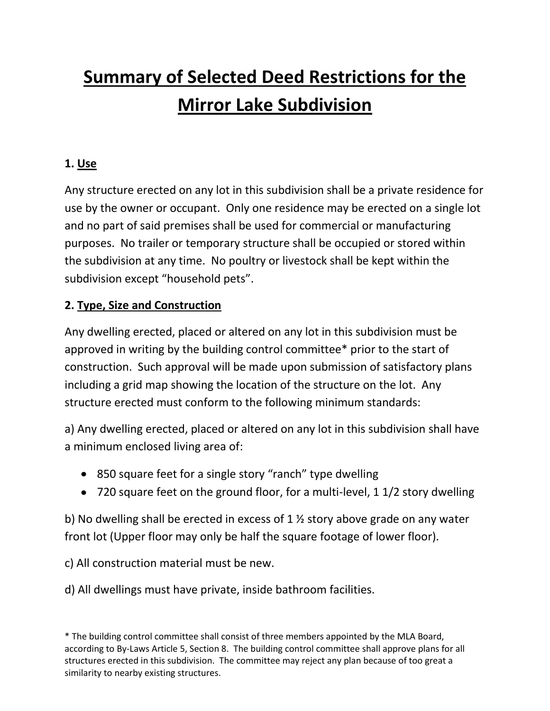# **Summary of Selected Deed Restrictions for the Mirror Lake Subdivision**

## **1. Use**

Any structure erected on any lot in this subdivision shall be a private residence for use by the owner or occupant. Only one residence may be erected on a single lot and no part of said premises shall be used for commercial or manufacturing purposes. No trailer or temporary structure shall be occupied or stored within the subdivision at any time. No poultry or livestock shall be kept within the subdivision except "household pets".

### **2. Type, Size and Construction**

Any dwelling erected, placed or altered on any lot in this subdivision must be approved in writing by the building control committee\* prior to the start of construction. Such approval will be made upon submission of satisfactory plans including a grid map showing the location of the structure on the lot. Any structure erected must conform to the following minimum standards:

a) Any dwelling erected, placed or altered on any lot in this subdivision shall have a minimum enclosed living area of:

- 850 square feet for a single story "ranch" type dwelling
- 720 square feet on the ground floor, for a multi-level, 1 1/2 story dwelling

b) No dwelling shall be erected in excess of 1 ½ story above grade on any water front lot (Upper floor may only be half the square footage of lower floor).

c) All construction material must be new.

d) All dwellings must have private, inside bathroom facilities.

<sup>\*</sup> The building control committee shall consist of three members appointed by the MLA Board, according to By-Laws Article 5, Section 8. The building control committee shall approve plans for all structures erected in this subdivision. The committee may reject any plan because of too great a similarity to nearby existing structures.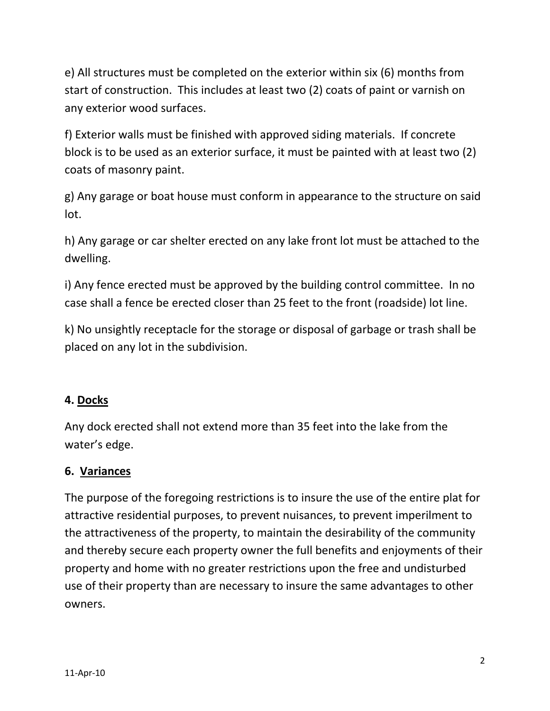e) All structures must be completed on the exterior within six (6) months from start of construction. This includes at least two (2) coats of paint or varnish on any exterior wood surfaces.

f) Exterior walls must be finished with approved siding materials. If concrete block is to be used as an exterior surface, it must be painted with at least two (2) coats of masonry paint.

g) Any garage or boat house must conform in appearance to the structure on said lot.

h) Any garage or car shelter erected on any lake front lot must be attached to the dwelling.

i) Any fence erected must be approved by the building control committee. In no case shall a fence be erected closer than 25 feet to the front (roadside) lot line.

k) No unsightly receptacle for the storage or disposal of garbage or trash shall be placed on any lot in the subdivision.

#### **4. Docks**

Any dock erected shall not extend more than 35 feet into the lake from the water's edge.

#### **6. Variances**

The purpose of the foregoing restrictions is to insure the use of the entire plat for attractive residential purposes, to prevent nuisances, to prevent imperilment to the attractiveness of the property, to maintain the desirability of the community and thereby secure each property owner the full benefits and enjoyments of their property and home with no greater restrictions upon the free and undisturbed use of their property than are necessary to insure the same advantages to other owners.